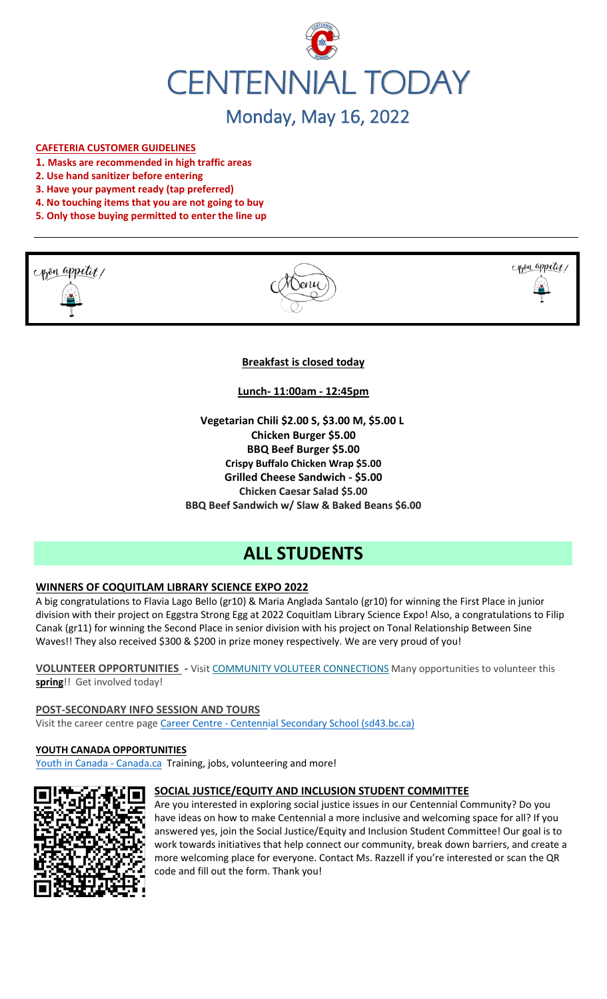

#### **CAFETERIA CUSTOMER GUIDELINES**

- **1. Masks are recommended in high traffic areas**
- **2. Use hand sanitizer before entering**
- **3. Have your payment ready (tap preferred)**
- **4. No touching items that you are not going to buy**
- **5. Only those buying permitted to enter the line up**







## **Breakfast is closed today**

**Lunch- 11:00am - 12:45pm**

**Vegetarian Chili \$2.00 S, \$3.00 M, \$5.00 L Chicken Burger \$5.00 BBQ Beef Burger \$5.00 Crispy Buffalo Chicken Wrap \$5.00 Grilled Cheese Sandwich - \$5.00 Chicken Caesar Salad \$5.00 BBQ Beef Sandwich w/ Slaw & Baked Beans \$6.00**

# **ALL STUDENTS**

## **WINNERS OF COQUITLAM LIBRARY SCIENCE EXPO 2022**

A big congratulations to Flavia Lago Bello (gr10) & Maria Anglada Santalo (gr10) for winning the First Place in junior division with their project on Eggstra Strong Egg at 2022 Coquitlam Library Science Expo! Also, a congratulations to Filip Canak (gr11) for winning the Second Place in senior division with his project on Tonal Relationship Between Sine Waves!! They also received \$300 & \$200 in prize money respectively. We are very proud of you!

**VOLUNTEER OPPORTUNITIES -** Visit [COMMUNITY VOLUTEER CONNECTIONS](http://cvc.bcvolunteer.ca/?utm_medium=email&_hsmi=212053802&_hsenc=p2ANqtz-9C8dpzKk2EMx5WaRlcu1rFP2YEXC5VAFvsOvn5_wxMc57Cdw3Mh5OQLY2UlP06JDrovG2rZ7VwFdjY3Ko2dQzZDqra3w&utm_content=212053802&utm_source=hs_email) Many opportunities to volunteer this **spring**!! Get involved today!

**POST-SECONDARY INFO SESSION AND TOURS** Visit the career centre page Career Centre - [Centennial Secondary School \(sd43.bc.ca\)](https://www.sd43.bc.ca/school/centennial/ProgramsServices/CareerCentre/postsecondary/Pages/default.aspx#/=)

#### **YOUTH CANADA OPPORTUNITIES**

[Youth in Canada -](https://www.canada.ca/en/services/youth.html) Canada.ca</u> Training, jobs, volunteering and more!



#### **SOCIAL JUSTICE/EQUITY AND INCLUSION STUDENT COMMITTEE**

Are you interested in exploring social justice issues in our Centennial Community? Do you have ideas on how to make Centennial a more inclusive and welcoming space for all? If you answered yes, join the Social Justice/Equity and Inclusion Student Committee! Our goal is to work towards initiatives that help connect our community, break down barriers, and create a more welcoming place for everyone. Contact Ms. Razzell if you're interested or scan the QR code and fill out the form. Thank you!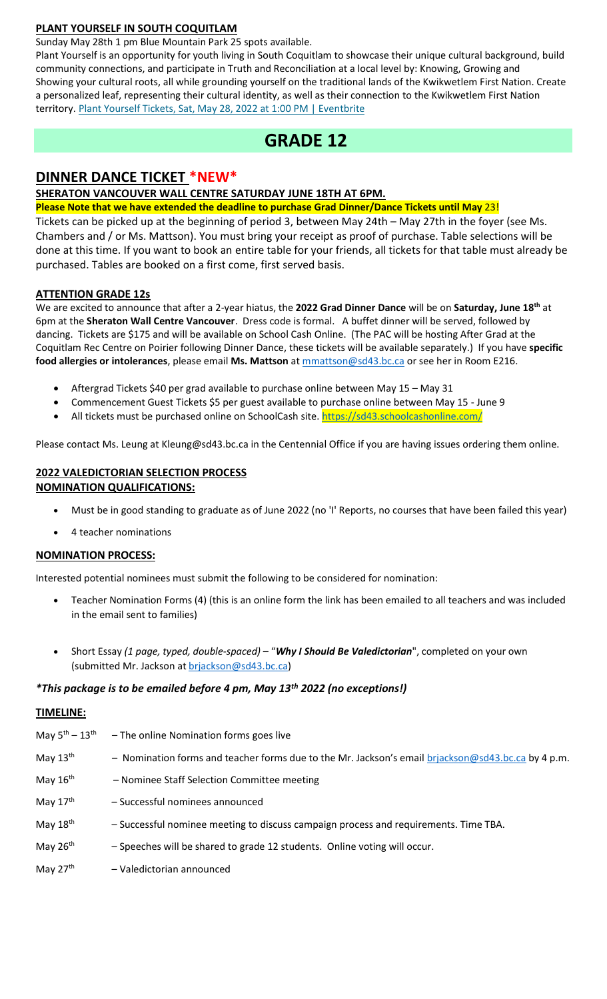# **PLANT YOURSELF IN SOUTH COQUITLAM**

Sunday May 28th 1 pm Blue Mountain Park 25 spots available.

Plant Yourself is an opportunity for youth living in South Coquitlam to showcase their unique cultural background, build community connections, and participate in Truth and Reconciliation at a local level by: Knowing, Growing and Showing your cultural roots, all while grounding yourself on the traditional lands of the Kwikwetlem First Nation. Create a personalized leaf, representing their cultural identity, as well as their connection to the Kwikwetlem First Nation territory. [Plant Yourself Tickets, Sat, May 28, 2022 at 1:00 PM | Eventbrite](https://www.eventbrite.ca/e/plant-yourself-tickets-335607159047)

# **GRADE 12**

# **DINNER DANCE TICKET \*NEW\***

# **SHERATON VANCOUVER WALL CENTRE SATURDAY JUNE 18TH AT 6PM.**

**Please Note that we have extended the deadline to purchase Grad Dinner/Dance Tickets until May** 23!

Tickets can be picked up at the beginning of period 3, between May 24th – May 27th in the foyer (see Ms. Chambers and / or Ms. Mattson). You must bring your receipt as proof of purchase. Table selections will be done at this time. If you want to book an entire table for your friends, all tickets for that table must already be purchased. Tables are booked on a first come, first served basis.

## **ATTENTION GRADE 12s**

We are excited to announce that after a 2-year hiatus, the **2022 Grad Dinner Dance** will be on **Saturday, June 18th** at 6pm at the **Sheraton Wall Centre Vancouver**. Dress code is formal. A buffet dinner will be served, followed by dancing. Tickets are \$175 and will be available on School Cash Online. (The PAC will be hosting After Grad at the Coquitlam Rec Centre on Poirier following Dinner Dance, these tickets will be available separately.) If you have **specific food allergies or intolerances**, please email **Ms. Mattson** at [mmattson@sd43.bc.ca](mailto:mmattson@sd43.bc.ca) or see her in Room E216.

- Aftergrad Tickets \$40 per grad available to purchase online between May 15 May 31
- Commencement Guest Tickets \$5 per guest available to purchase online between May 15 June 9
- All tickets must be purchased online on SchoolCash site. <https://sd43.schoolcashonline.com/>

Please contact Ms. Leung at [Kleung@sd43.bc.ca](mailto:Kleung@sd43.bc.ca) in the Centennial Office if you are having issues ordering them online.

# **2022 VALEDICTORIAN SELECTION PROCESS NOMINATION QUALIFICATIONS:**

- Must be in good standing to graduate as of June 2022 (no 'I' Reports, no courses that have been failed this year)
- 4 teacher nominations

## **NOMINATION PROCESS:**

Interested potential nominees must submit the following to be considered for nomination:

- Teacher Nomination Forms (4) (this is an online form the link has been emailed to all teachers and was included in the email sent to families)
- Short Essay *(1 page, typed, double-spaced)* "*Why I Should Be Valedictorian*", completed on your own (submitted Mr. Jackson at [brjackson@sd43.bc.ca\)](mailto:bking@sd43.bc.ca)

## *\*This package is to be emailed before 4 pm, May 13th 2022 (no exceptions!)*

# **TIMELINE:**

| May $5^{\text{th}} - 13^{\text{th}}$ | - The online Nomination forms goes live                                                            |
|--------------------------------------|----------------------------------------------------------------------------------------------------|
| May $13th$                           | - Nomination forms and teacher forms due to the Mr. Jackson's email brjackson@sd43.bc.ca by 4 p.m. |
| May $16th$                           | - Nominee Staff Selection Committee meeting                                                        |
| May $17th$                           | - Successful nominees announced                                                                    |
| May $18th$                           | - Successful nominee meeting to discuss campaign process and requirements. Time TBA.               |
| May $26th$                           | - Speeches will be shared to grade 12 students. Online voting will occur.                          |
| May $27th$                           | - Valedictorian announced                                                                          |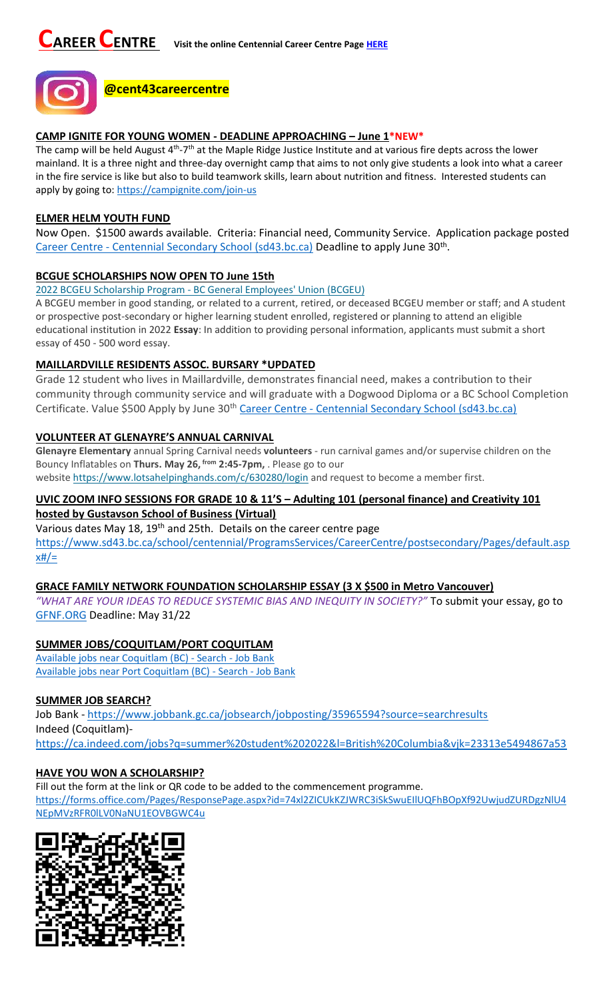

#### **CAMP IGNITE FOR YOUNG WOMEN - DEADLINE APPROACHING – June 1\*NEW\***

The camp will be held August 4<sup>th</sup>-7<sup>th</sup> at the Maple Ridge Justice Institute and at various fire depts across the lower mainland. It is a three night and three-day overnight camp that aims to not only give students a look into what a career in the fire service is like but also to build teamwork skills, learn about nutrition and fitness. Interested students can apply by going to:<https://campignite.com/join-us>

#### **ELMER HELM YOUTH FUND**

Now Open. \$1500 awards available. Criteria: Financial need, Community Service. Application package posted Career Centre - [Centennial Secondary School \(sd43.bc.ca\)](https://www.sd43.bc.ca/school/centennial/ProgramsServices/CareerCentre/financeawards/Pages/default.aspx?InitialTabId=Ribbon%2ERead&VisibilityContext=WSSTabPersistence#/=#InplviewHash02f87063-69d3-4710-8d10-63ddea64e857=) Deadline to apply June 30<sup>th</sup>.

## **BCGUE SCHOLARSHIPS NOW OPEN TO June 15th**

2022 BCGEU Scholarship Program - [BC General Employees' Union \(BCGEU\)](https://www.bcgeu.ca/2022_bcgeu_scholarship_program)

A BCGEU member in good standing, or related to a current, retired, or deceased BCGEU member or staff; and A student or prospective post-secondary or higher learning student enrolled, registered or planning to attend an eligible educational institution in 2022 **Essay**: In addition to providing personal information, applicants must submit a short essay of 450 - 500 word essay.

## **MAILLARDVILLE RESIDENTS ASSOC. BURSARY \*UPDATED**

Grade 12 student who lives in Maillardville, demonstrates financial need, makes a contribution to their community through community service and will graduate with a Dogwood Diploma or a BC School Completion Certificate. Value \$500 Apply by June 30<sup>th</sup> Career Centre - [Centennial Secondary School \(sd43.bc.ca\)](https://www.sd43.bc.ca/school/centennial/ProgramsServices/CareerCentre/financeawards/Pages/default.aspx?login=-73147025#/=)

## **VOLUNTEER AT GLENAYRE'S ANNUAL CARNIVAL**

**Glenayre Elementary** annual Spring Carnival needs **volunteers** - run carnival games and/or supervise children on the Bouncy Inflatables on **Thurs. May 26, from 2:45-7pm,** . Please go to our website <https://www.lotsahelpinghands.com/c/630280/login> and request to become a member first.

# **UVIC ZOOM INFO SESSIONS FOR GRADE 10 & 11'S – Adulting 101 (personal finance) and Creativity 101 hosted by Gustavson School of Business (Virtual)**

Various dates May 18, 19<sup>th</sup> and 25th. Details on the career centre page [https://www.sd43.bc.ca/school/centennial/ProgramsServices/CareerCentre/postsecondary/Pages/default.asp](https://www.sd43.bc.ca/school/centennial/ProgramsServices/CareerCentre/postsecondary/Pages/default.aspx#/=)  $x#/=$ 

## **GRACE FAMILY NETWORK FOUNDATION SCHOLARSHIP ESSAY (3 X \$500 in Metro Vancouver)**

*"WHAT ARE YOUR IDEAS TO REDUCE SYSTEMIC BIAS AND INEQUITY IN SOCIETY?"* To submit your essay, go to [GFNF.ORG](http://www.gfnf.org/) Deadline: May 31/22

## **SUMMER JOBS/COQUITLAM/PORT COQUITLAM**

[Available jobs near Coquitlam \(BC\) -](https://www.jobbank.gc.ca/jobsearch/jobsearch?fsrc=21&searchstring=&locationstring=COQUITLAM&mid=&button.submit=Search) Search - Job Bank [Available jobs near Port Coquitlam \(BC\) -](https://www.jobbank.gc.ca/jobsearch/jobsearch?searchstring=&locationstring=Port+Coquitlam%2C+BC&fsrc=21) Search - Job Bank

## **SUMMER JOB SEARCH?**

Job Bank - <https://www.jobbank.gc.ca/jobsearch/jobposting/35965594?source=searchresults> Indeed (Coquitlam) <https://ca.indeed.com/jobs?q=summer%20student%202022&l=British%20Columbia&vjk=23313e5494867a53>

## **HAVE YOU WON A SCHOLARSHIP?**

Fill out the form at the link or QR code to be added to the commencement programme.

[https://forms.office.com/Pages/ResponsePage.aspx?id=74xl2ZICUkKZJWRC3iSkSwuEIlUQFhBOpXf92UwjudZURDgzNlU4](https://forms.office.com/Pages/ResponsePage.aspx?id=74xl2ZICUkKZJWRC3iSkSwuEIlUQFhBOpXf92UwjudZURDgzNlU4NEpMVzRFR0lLV0NaNU1EOVBGWC4u) [NEpMVzRFR0lLV0NaNU1EOVBGWC4u](https://forms.office.com/Pages/ResponsePage.aspx?id=74xl2ZICUkKZJWRC3iSkSwuEIlUQFhBOpXf92UwjudZURDgzNlU4NEpMVzRFR0lLV0NaNU1EOVBGWC4u)